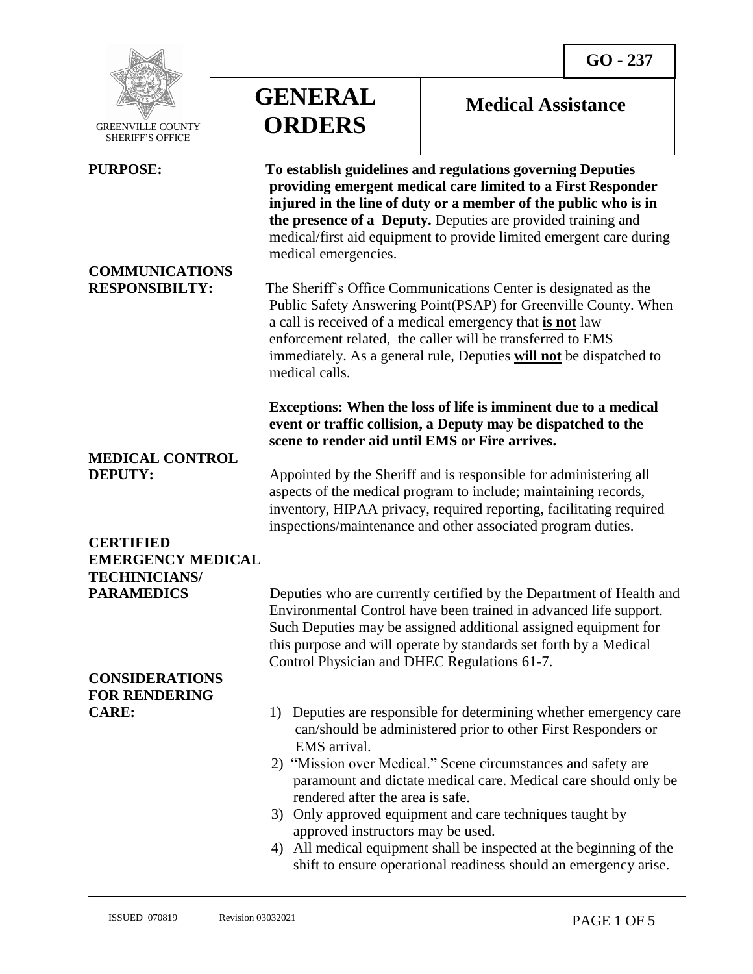

 GREENVILLE COUNTY SHERIFF'S OFFICE

 $\overline{a}$ 

# **GENERAL ORDERS**

# **Medical Assistance**

| <b>PURPOSE:</b><br><b>COMMUNICATIONS</b>      | To establish guidelines and regulations governing Deputies<br>providing emergent medical care limited to a First Responder<br>injured in the line of duty or a member of the public who is in<br>the presence of a Deputy. Deputies are provided training and<br>medical/first aid equipment to provide limited emergent care during<br>medical emergencies. |
|-----------------------------------------------|--------------------------------------------------------------------------------------------------------------------------------------------------------------------------------------------------------------------------------------------------------------------------------------------------------------------------------------------------------------|
| <b>RESPONSIBILTY:</b>                         | The Sheriff's Office Communications Center is designated as the<br>Public Safety Answering Point(PSAP) for Greenville County. When<br>a call is received of a medical emergency that is not law<br>enforcement related, the caller will be transferred to EMS<br>immediately. As a general rule, Deputies will not be dispatched to<br>medical calls.        |
| <b>MEDICAL CONTROL</b>                        | Exceptions: When the loss of life is imminent due to a medical<br>event or traffic collision, a Deputy may be dispatched to the<br>scene to render aid until EMS or Fire arrives.                                                                                                                                                                            |
| <b>DEPUTY:</b>                                | Appointed by the Sheriff and is responsible for administering all<br>aspects of the medical program to include; maintaining records,<br>inventory, HIPAA privacy, required reporting, facilitating required<br>inspections/maintenance and other associated program duties.                                                                                  |
| <b>CERTIFIED</b><br><b>EMERGENCY MEDICAL</b>  |                                                                                                                                                                                                                                                                                                                                                              |
| <b>TECHINICIANS/</b>                          |                                                                                                                                                                                                                                                                                                                                                              |
| <b>PARAMEDICS</b>                             | Deputies who are currently certified by the Department of Health and<br>Environmental Control have been trained in advanced life support.<br>Such Deputies may be assigned additional assigned equipment for<br>this purpose and will operate by standards set forth by a Medical<br>Control Physician and DHEC Regulations 61-7.                            |
| <b>CONSIDERATIONS</b><br><b>FOR RENDERING</b> |                                                                                                                                                                                                                                                                                                                                                              |
| <b>CARE:</b>                                  | 1) Deputies are responsible for determining whether emergency care<br>can/should be administered prior to other First Responders or<br>EMS arrival.                                                                                                                                                                                                          |
|                                               | 2) "Mission over Medical." Scene circumstances and safety are<br>paramount and dictate medical care. Medical care should only be<br>rendered after the area is safe.                                                                                                                                                                                         |
|                                               | Only approved equipment and care techniques taught by<br>3)<br>approved instructors may be used.                                                                                                                                                                                                                                                             |
|                                               | 4) All medical equipment shall be inspected at the beginning of the<br>shift to ensure operational readiness should an emergency arise.                                                                                                                                                                                                                      |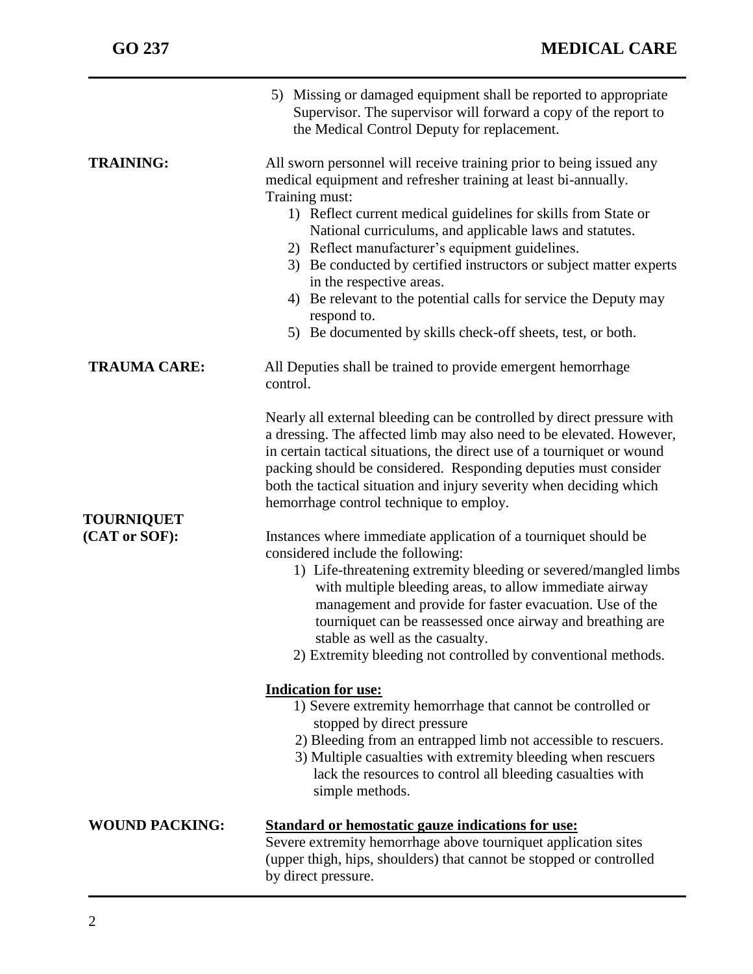|                       | 5) Missing or damaged equipment shall be reported to appropriate<br>Supervisor. The supervisor will forward a copy of the report to<br>the Medical Control Deputy for replacement.                                                                                                                                                                                                                                                                                                                                                                                                          |
|-----------------------|---------------------------------------------------------------------------------------------------------------------------------------------------------------------------------------------------------------------------------------------------------------------------------------------------------------------------------------------------------------------------------------------------------------------------------------------------------------------------------------------------------------------------------------------------------------------------------------------|
| <b>TRAINING:</b>      | All sworn personnel will receive training prior to being issued any<br>medical equipment and refresher training at least bi-annually.<br>Training must:<br>1) Reflect current medical guidelines for skills from State or<br>National curriculums, and applicable laws and statutes.<br>2) Reflect manufacturer's equipment guidelines.<br>3) Be conducted by certified instructors or subject matter experts<br>in the respective areas.<br>4) Be relevant to the potential calls for service the Deputy may<br>respond to.<br>5) Be documented by skills check-off sheets, test, or both. |
| <b>TRAUMA CARE:</b>   | All Deputies shall be trained to provide emergent hemorrhage<br>control.                                                                                                                                                                                                                                                                                                                                                                                                                                                                                                                    |
|                       | Nearly all external bleeding can be controlled by direct pressure with<br>a dressing. The affected limb may also need to be elevated. However,<br>in certain tactical situations, the direct use of a tourniquet or wound<br>packing should be considered. Responding deputies must consider<br>both the tactical situation and injury severity when deciding which<br>hemorrhage control technique to employ.                                                                                                                                                                              |
| <b>TOURNIQUET</b>     |                                                                                                                                                                                                                                                                                                                                                                                                                                                                                                                                                                                             |
| (CAT or SOF):         | Instances where immediate application of a tourniquet should be<br>considered include the following:<br>1) Life-threatening extremity bleeding or severed/mangled limbs<br>with multiple bleeding areas, to allow immediate airway<br>management and provide for faster evacuation. Use of the<br>tourniquet can be reassessed once airway and breathing are<br>stable as well as the casualty.<br>2) Extremity bleeding not controlled by conventional methods.                                                                                                                            |
|                       | <b>Indication for use:</b>                                                                                                                                                                                                                                                                                                                                                                                                                                                                                                                                                                  |
|                       | 1) Severe extremity hemorrhage that cannot be controlled or<br>stopped by direct pressure<br>2) Bleeding from an entrapped limb not accessible to rescuers.<br>3) Multiple casualties with extremity bleeding when rescuers<br>lack the resources to control all bleeding casualties with<br>simple methods.                                                                                                                                                                                                                                                                                |
| <b>WOUND PACKING:</b> | <b>Standard or hemostatic gauze indications for use:</b><br>Severe extremity hemorrhage above tourniquet application sites<br>(upper thigh, hips, shoulders) that cannot be stopped or controlled<br>by direct pressure.                                                                                                                                                                                                                                                                                                                                                                    |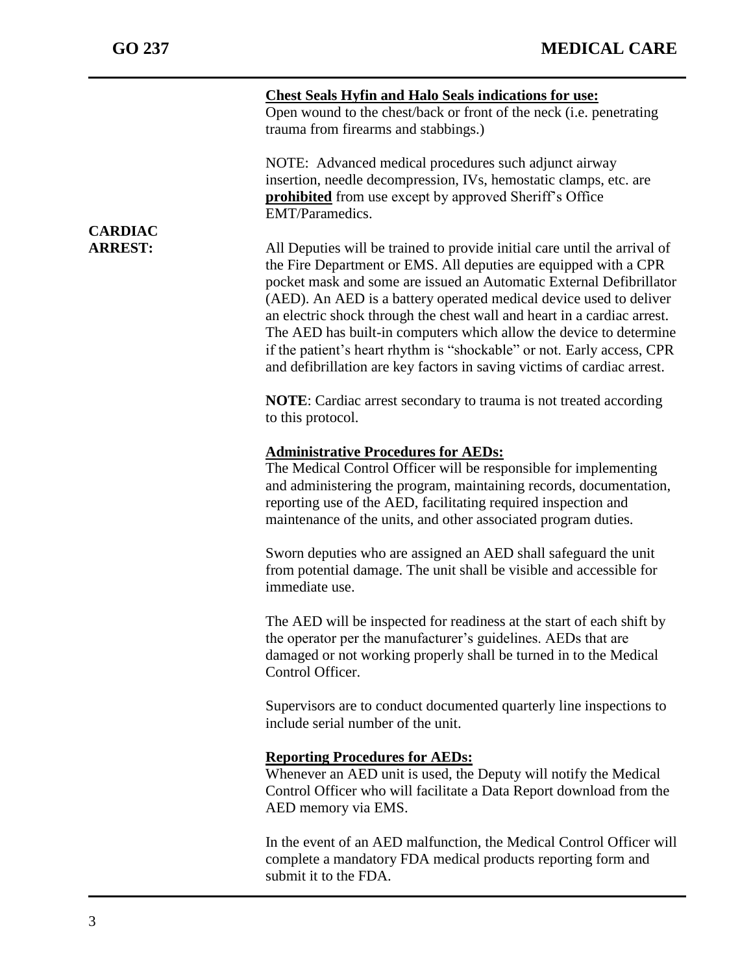j

|                | <b>Chest Seals Hyfin and Halo Seals indications for use:</b><br>Open wound to the chest/back or front of the neck (i.e. penetrating<br>trauma from firearms and stabbings.)                                                                                                                                                                                                                                                                                                                                                                                                                      |
|----------------|--------------------------------------------------------------------------------------------------------------------------------------------------------------------------------------------------------------------------------------------------------------------------------------------------------------------------------------------------------------------------------------------------------------------------------------------------------------------------------------------------------------------------------------------------------------------------------------------------|
| <b>CARDIAC</b> | NOTE: Advanced medical procedures such adjunct airway<br>insertion, needle decompression, IVs, hemostatic clamps, etc. are<br><b>prohibited</b> from use except by approved Sheriff's Office<br>EMT/Paramedics.                                                                                                                                                                                                                                                                                                                                                                                  |
| <b>ARREST:</b> | All Deputies will be trained to provide initial care until the arrival of<br>the Fire Department or EMS. All deputies are equipped with a CPR<br>pocket mask and some are issued an Automatic External Defibrillator<br>(AED). An AED is a battery operated medical device used to deliver<br>an electric shock through the chest wall and heart in a cardiac arrest.<br>The AED has built-in computers which allow the device to determine<br>if the patient's heart rhythm is "shockable" or not. Early access, CPR<br>and defibrillation are key factors in saving victims of cardiac arrest. |
|                | <b>NOTE:</b> Cardiac arrest secondary to trauma is not treated according<br>to this protocol.                                                                                                                                                                                                                                                                                                                                                                                                                                                                                                    |
|                | <b>Administrative Procedures for AEDs:</b><br>The Medical Control Officer will be responsible for implementing<br>and administering the program, maintaining records, documentation,<br>reporting use of the AED, facilitating required inspection and<br>maintenance of the units, and other associated program duties.                                                                                                                                                                                                                                                                         |
|                | Sworn deputies who are assigned an AED shall safeguard the unit<br>from potential damage. The unit shall be visible and accessible for<br>immediate use.                                                                                                                                                                                                                                                                                                                                                                                                                                         |
|                | The AED will be inspected for readiness at the start of each shift by<br>the operator per the manufacturer's guidelines. AEDs that are<br>damaged or not working properly shall be turned in to the Medical<br>Control Officer.                                                                                                                                                                                                                                                                                                                                                                  |
|                | Supervisors are to conduct documented quarterly line inspections to<br>include serial number of the unit.                                                                                                                                                                                                                                                                                                                                                                                                                                                                                        |
|                | <b>Reporting Procedures for AEDs:</b><br>Whenever an AED unit is used, the Deputy will notify the Medical<br>Control Officer who will facilitate a Data Report download from the<br>AED memory via EMS.                                                                                                                                                                                                                                                                                                                                                                                          |
|                | In the event of an AED malfunction, the Medical Control Officer will<br>complete a mandatory FDA medical products reporting form and<br>submit it to the FDA.                                                                                                                                                                                                                                                                                                                                                                                                                                    |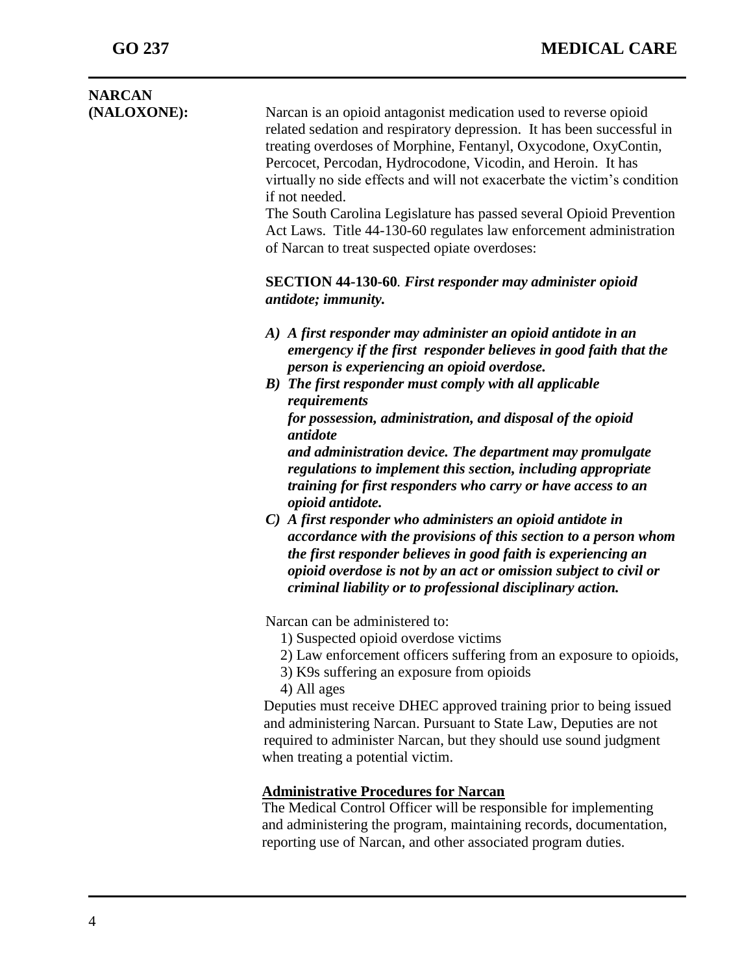| <b>NARCAN</b><br>(NALOXONE): | Narcan is an opioid antagonist medication used to reverse opioid<br>related sedation and respiratory depression. It has been successful in<br>treating overdoses of Morphine, Fentanyl, Oxycodone, OxyContin,<br>Percocet, Percodan, Hydrocodone, Vicodin, and Heroin. It has<br>virtually no side effects and will not exacerbate the victim's condition<br>if not needed.<br>The South Carolina Legislature has passed several Opioid Prevention<br>Act Laws. Title 44-130-60 regulates law enforcement administration<br>of Narcan to treat suspected opiate overdoses:                                                                                                                                                                                                                                                                                                                |
|------------------------------|-------------------------------------------------------------------------------------------------------------------------------------------------------------------------------------------------------------------------------------------------------------------------------------------------------------------------------------------------------------------------------------------------------------------------------------------------------------------------------------------------------------------------------------------------------------------------------------------------------------------------------------------------------------------------------------------------------------------------------------------------------------------------------------------------------------------------------------------------------------------------------------------|
|                              | <b>SECTION 44-130-60. First responder may administer opioid</b><br>antidote; immunity.                                                                                                                                                                                                                                                                                                                                                                                                                                                                                                                                                                                                                                                                                                                                                                                                    |
|                              | A) A first responder may administer an opioid antidote in an<br>emergency if the first responder believes in good faith that the<br>person is experiencing an opioid overdose.<br>B) The first responder must comply with all applicable<br>requirements<br>for possession, administration, and disposal of the opioid<br>antidote<br>and administration device. The department may promulgate<br>regulations to implement this section, including appropriate<br>training for first responders who carry or have access to an<br>opioid antidote.<br>$C$ ) A first responder who administers an opioid antidote in<br>accordance with the provisions of this section to a person whom<br>the first responder believes in good faith is experiencing an<br>opioid overdose is not by an act or omission subject to civil or<br>criminal liability or to professional disciplinary action. |
|                              | Narcan can be administered to:<br>1) Suspected opioid overdose victims<br>2) Law enforcement officers suffering from an exposure to opioids,<br>3) K9s suffering an exposure from opioids<br>4) All ages<br>Deputies must receive DHEC approved training prior to being issued<br>and administering Narcan. Pursuant to State Law, Deputies are not<br>required to administer Narcan, but they should use sound judgment<br>when treating a potential victim.                                                                                                                                                                                                                                                                                                                                                                                                                             |
|                              | <b>Administrative Procedures for Narcan</b><br>The Medical Control Officer will be responsible for implementing<br>and administering the program, maintaining records, documentation,<br>reporting use of Narcan, and other associated program duties.                                                                                                                                                                                                                                                                                                                                                                                                                                                                                                                                                                                                                                    |